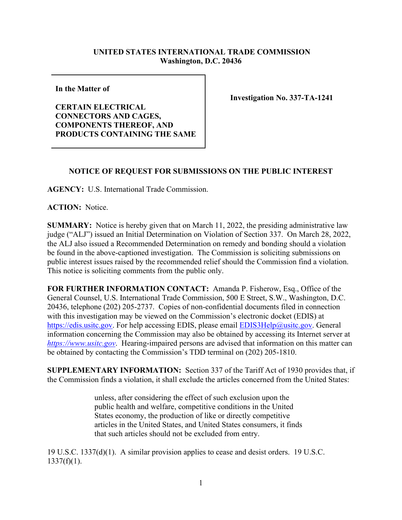## **UNITED STATES INTERNATIONAL TRADE COMMISSION Washington, D.C. 20436**

**In the Matter of** 

**CERTAIN ELECTRICAL CONNECTORS AND CAGES, COMPONENTS THEREOF, AND PRODUCTS CONTAINING THE SAME** **Investigation No. 337-TA-1241**

## **NOTICE OF REQUEST FOR SUBMISSIONS ON THE PUBLIC INTEREST**

**AGENCY:** U.S. International Trade Commission.

**ACTION:** Notice.

**SUMMARY:** Notice is hereby given that on March 11, 2022, the presiding administrative law judge ("ALJ") issued an Initial Determination on Violation of Section 337. On March 28, 2022, the ALJ also issued a Recommended Determination on remedy and bonding should a violation be found in the above-captioned investigation. The Commission is soliciting submissions on public interest issues raised by the recommended relief should the Commission find a violation. This notice is soliciting comments from the public only.

**FOR FURTHER INFORMATION CONTACT:** Amanda P. Fisherow, Esq., Office of the General Counsel, U.S. International Trade Commission, 500 E Street, S.W., Washington, D.C. 20436, telephone (202) 205-2737. Copies of non-confidential documents filed in connection with this investigation may be viewed on the Commission's electronic docket (EDIS) at [https://edis.usitc.gov.](https://edis.usitc.gov/) For help accessing EDIS, please email [EDIS3Help@usitc.gov.](mailto:EDIS3Help@usitc.gov) General information concerning the Commission may also be obtained by accessing its Internet server at *[https://www.usitc.gov](https://www.usitc.gov/)*. Hearing-impaired persons are advised that information on this matter can be obtained by contacting the Commission's TDD terminal on (202) 205-1810.

**SUPPLEMENTARY INFORMATION:** Section 337 of the Tariff Act of 1930 provides that, if the Commission finds a violation, it shall exclude the articles concerned from the United States:

> unless, after considering the effect of such exclusion upon the public health and welfare, competitive conditions in the United States economy, the production of like or directly competitive articles in the United States, and United States consumers, it finds that such articles should not be excluded from entry.

19 U.S.C. 1337(d)(1). A similar provision applies to cease and desist orders. 19 U.S.C.  $1337(f)(1)$ .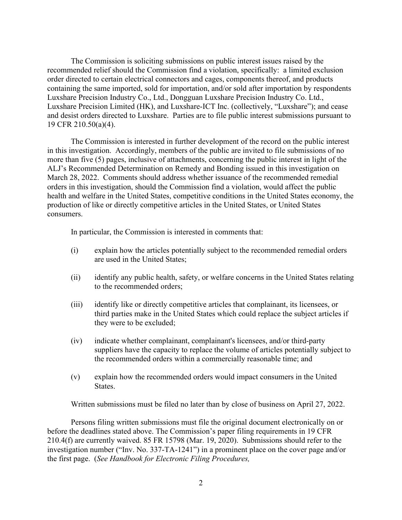The Commission is soliciting submissions on public interest issues raised by the recommended relief should the Commission find a violation, specifically: a limited exclusion order directed to certain electrical connectors and cages, components thereof, and products containing the same imported, sold for importation, and/or sold after importation by respondents Luxshare Precision Industry Co., Ltd., Dongguan Luxshare Precision Industry Co. Ltd., Luxshare Precision Limited (HK), and Luxshare-ICT Inc. (collectively, "Luxshare"); and cease and desist orders directed to Luxshare. Parties are to file public interest submissions pursuant to 19 CFR 210.50(a)(4).

The Commission is interested in further development of the record on the public interest in this investigation. Accordingly, members of the public are invited to file submissions of no more than five (5) pages, inclusive of attachments, concerning the public interest in light of the ALJ's Recommended Determination on Remedy and Bonding issued in this investigation on March 28, 2022.Comments should address whether issuance of the recommended remedial orders in this investigation, should the Commission find a violation, would affect the public health and welfare in the United States, competitive conditions in the United States economy, the production of like or directly competitive articles in the United States, or United States consumers.

In particular, the Commission is interested in comments that:

- (i) explain how the articles potentially subject to the recommended remedial orders are used in the United States;
- (ii) identify any public health, safety, or welfare concerns in the United States relating to the recommended orders;
- (iii) identify like or directly competitive articles that complainant, its licensees, or third parties make in the United States which could replace the subject articles if they were to be excluded;
- (iv) indicate whether complainant, complainant's licensees, and/or third-party suppliers have the capacity to replace the volume of articles potentially subject to the recommended orders within a commercially reasonable time; and
- (v) explain how the recommended orders would impact consumers in the United States.

Written submissions must be filed no later than by close of business on April 27, 2022.

Persons filing written submissions must file the original document electronically on or before the deadlines stated above. The Commission's paper filing requirements in 19 CFR 210.4(f) are currently waived. 85 FR 15798 (Mar. 19, 2020). Submissions should refer to the investigation number ("Inv. No. 337-TA-1241") in a prominent place on the cover page and/or the first page. (*See Handbook for Electronic Filing Procedures,*